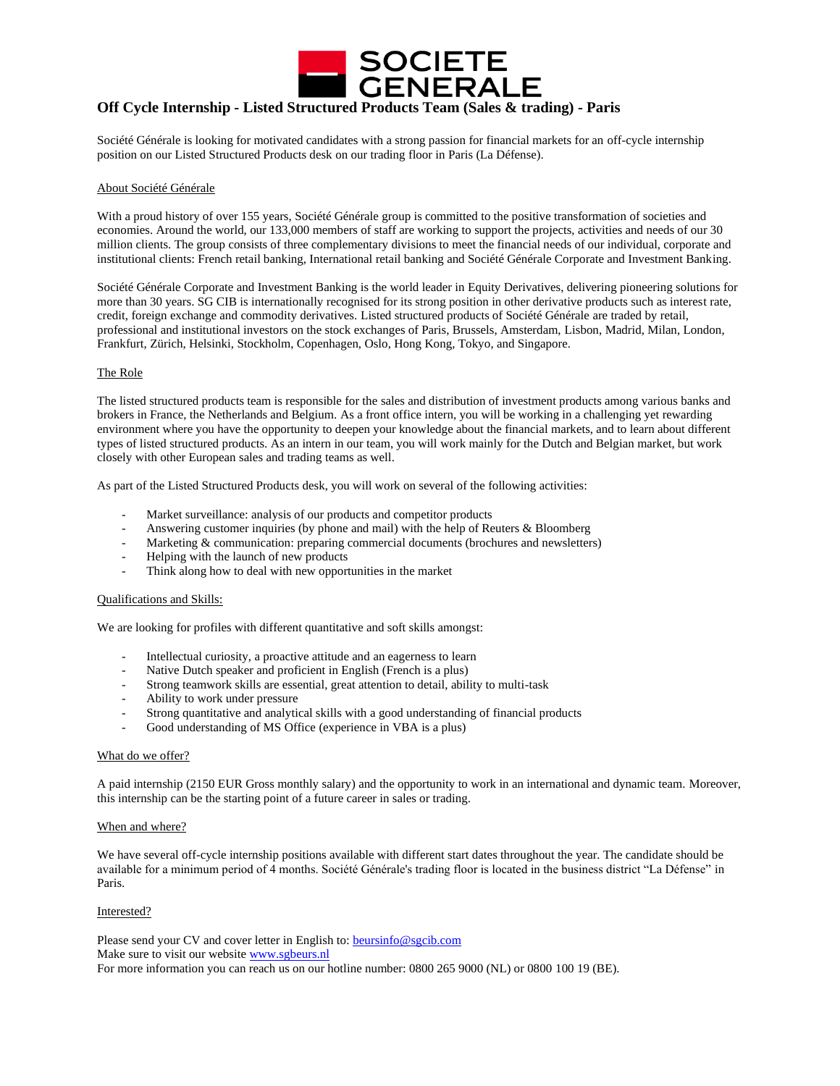

# **Off Cycle Internship - Listed Structured Products Team (Sales & trading) - Paris**

Société Générale is looking for motivated candidates with a strong passion for financial markets for an off-cycle internship position on our Listed Structured Products desk on our trading floor in Paris (La Défense).

### About Société Générale

With a proud history of over 155 years, Société Générale group is committed to the positive transformation of societies and economies. Around the world, our 133,000 members of staff are working to support the projects, activities and needs of our 30 million clients. The group consists of three complementary divisions to meet the financial needs of our individual, corporate and institutional clients: French retail banking, International retail banking and Société Générale Corporate and Investment Banking.

Société Générale Corporate and Investment Banking is the world leader in Equity Derivatives, delivering pioneering solutions for more than 30 years. SG CIB is internationally recognised for its strong position in other derivative products such as interest rate, credit, foreign exchange and commodity derivatives. Listed structured products of Société Générale are traded by retail, professional and institutional investors on the stock exchanges of Paris, Brussels, Amsterdam, Lisbon, Madrid, Milan, London, Frankfurt, Zürich, Helsinki, Stockholm, Copenhagen, Oslo, Hong Kong, Tokyo, and Singapore.

#### The Role

The listed structured products team is responsible for the sales and distribution of investment products among various banks and brokers in France, the Netherlands and Belgium. As a front office intern, you will be working in a challenging yet rewarding environment where you have the opportunity to deepen your knowledge about the financial markets, and to learn about different types of listed structured products. As an intern in our team, you will work mainly for the Dutch and Belgian market, but work closely with other European sales and trading teams as well.

As part of the Listed Structured Products desk, you will work on several of the following activities:

- Market surveillance: analysis of our products and competitor products
- Answering customer inquiries (by phone and mail) with the help of Reuters  $\&$  Bloomberg
- Marketing & communication: preparing commercial documents (brochures and newsletters)
- Helping with the launch of new products
- Think along how to deal with new opportunities in the market

## Qualifications and Skills:

We are looking for profiles with different quantitative and soft skills amongst:

- Intellectual curiosity, a proactive attitude and an eagerness to learn
- Native Dutch speaker and proficient in English (French is a plus)
- Strong teamwork skills are essential, great attention to detail, ability to multi-task
- Ability to work under pressure
- Strong quantitative and analytical skills with a good understanding of financial products
- Good understanding of MS Office (experience in VBA is a plus)

#### What do we offer?

A paid internship (2150 EUR Gross monthly salary) and the opportunity to work in an international and dynamic team. Moreover, this internship can be the starting point of a future career in sales or trading.

#### When and where?

We have several off-cycle internship positions available with different start dates throughout the year. The candidate should be available for a minimum period of 4 months. Société Générale's trading floor is located in the business district "La Défense" in Paris.

## Interested?

Please send your CV and cover letter in English to: **beursinfo@sgcib.com** Make sure to visit our website [www.sgbeurs.nl](http://www.sgbeurs.nl/) For more information you can reach us on our hotline number: 0800 265 9000 (NL) or 0800 100 19 (BE).